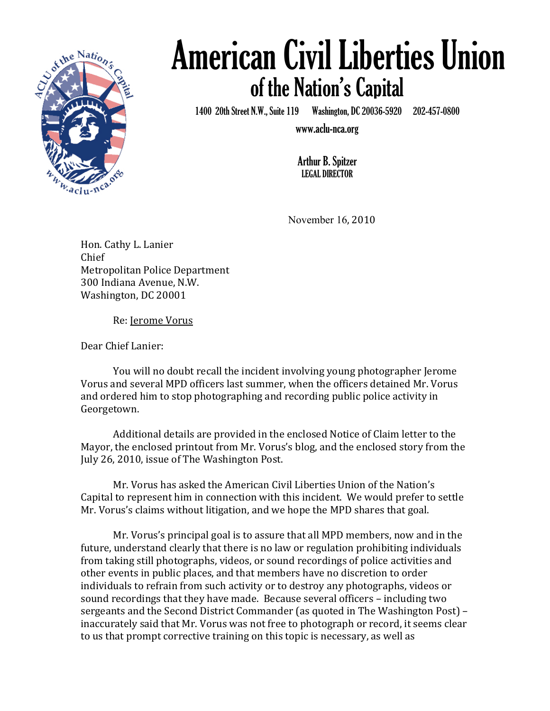

## of the Nation's Capital American Civil Liberties Union

ii<br>1. 1400 20th Street N.W., Suite 119 Washington, DC 20036-5920 202-457-0800

www.aclu-nca.org

Arthur B. Spitzer LEGAL DIRECTOR

November 16, 2010

Hon. Cathy L. Lanier Chief Metropolitan Police Department 300 Indiana Avenue, N.W. Washington, DC 20001

Re: Jerome Vorus

Dear Chief Lanier:

You will no doubt recall the incident involving young photographer Jerome" Vorus and several MPD officers last summer, when the officers detained Mr. Vorus and ordered him to stop photographing and recording public police activity in Georgetown.

Additional details are provided in the enclosed Notice of Claim letter to the Mayor, the enclosed printout from Mr. Vorus's blog, and the enclosed story from the July 26, 2010, issue of The Washington Post.

Mr. Vorus has asked the American Civil Liberties Union of the Nation's Capital to represent him in connection with this incident. We would prefer to settle Mr. Vorus's claims without litigation, and we hope the MPD shares that goal.

Mr. Vorus's principal goal is to assure that all MPD members, now and in the future, understand clearly that there is no law or regulation prohibiting individuals from taking still photographs, videos, or sound recordings of police activities and other events in public places, and that members have no discretion to order individuals to refrain from such activity or to destroy any photographs, videos or sound recordings that they have made. Because several officers – including two sergeants and the Second District Commander (as quoted in The Washington Post) – inaccurately said that Mr. Vorus was not free to photograph or record, it seems clear to us that prompt corrective training on this topic is necessary, as well as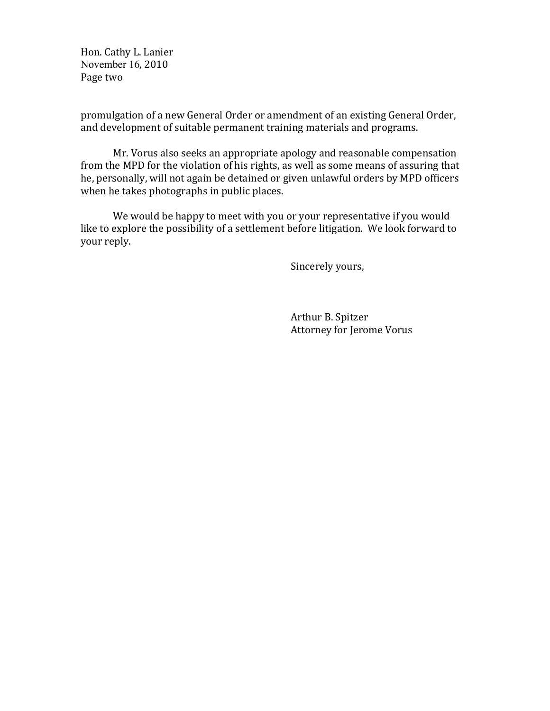Hon. Cathy L. Lanier November 16, 2010 Page two

promulgation of a new General Order or amendment of an existing General Order, and development of suitable permanent training materials and programs.

Mr. Vorus also seeks an appropriate apology and reasonable compensation from the MPD for the violation of his rights, as well as some means of assuring that he, personally, will not again be detained or given unlawful orders by MPD officers when he takes photographs in public places.

We would be happy to meet with you or your representative if you would like to explore the possibility of a settlement before litigation. We look forward to your reply.

Sincerely yours,

Arthur B. Spitzer Attorney for Jerome Vorus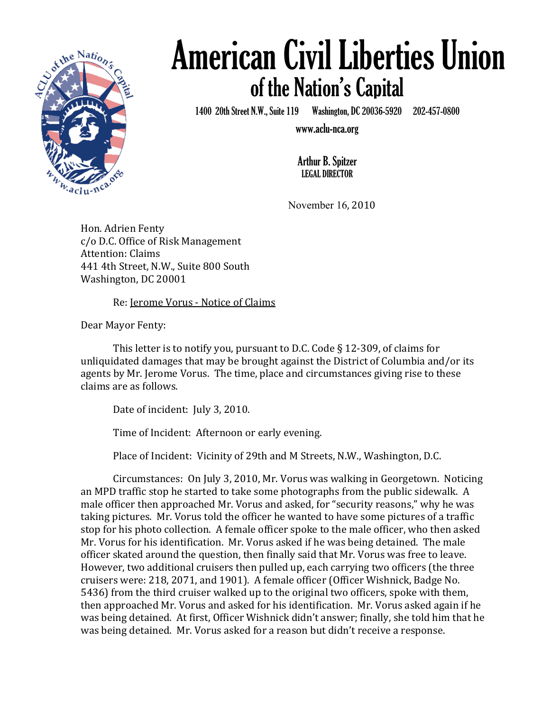

## of the Nation's Capital American Civil Liberties Union

ம்<br>1. 1400 20th Street N.W., Suite 119 Washington, DC 20036-5920 202-457-0800

www.aclu-nca.org

Arthur B. Spitzer LEGAL DIRECTOR

November 16, 2010

Hon. Adrien Fenty c/o D.C. Office of Risk Management Attention: Claims 441 4th Street, N.W., Suite 800 South Washington, DC 20001

Re: Jerome Vorus - Notice of Claims

Dear Mayor Fenty:

This letter is to notify you, pursuant to D.C. Code  $\S$  12-309, of claims for unliquidated damages that may be brought against the District of Columbia and/or its" agents by Mr. Jerome Vorus. The time, place and circumstances giving rise to these claims are as follows.

Date of incident: July 3, 2010.

Time of Incident: Afternoon or early evening.

Place of Incident: Vicinity of 29th and M Streets, N.W., Washington, D.C.

Circumstances: On July 3, 2010, Mr. Vorus was walking in Georgetown. Noticing an MPD traffic stop he started to take some photographs from the public sidewalk. A male officer then approached Mr. Vorus and asked, for "security reasons," why he was taking pictures. Mr. Vorus told the officer he wanted to have some pictures of a traffic stop for his photo collection. A female officer spoke to the male officer, who then asked Mr. Vorus for his identification. "Mr. Vorus asked if he was being detained. The male" officer skated around the question, then finally said that Mr. Vorus was free to leave. However, two additional cruisers then pulled up, each carrying two officers (the three" cruisers were: 218, 2071, and 1901). A female officer (Officer Wishnick, Badge No. 5436) from the third cruiser walked up to the original two officers, spoke with them, then approached Mr. Vorus and asked for his identification. "Mr. Vorus asked again if he" was being detained. At first, Officer Wishnick didn't answer; finally, she told him that he was being detained. Mr. Vorus asked for a reason but didn't receive a response.